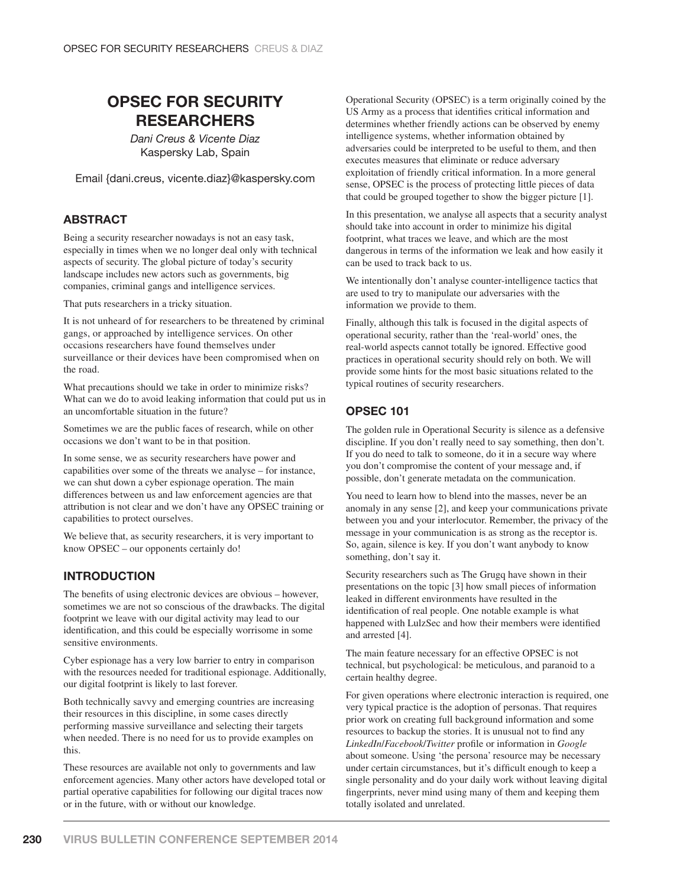# **OPSEC FOR SECURITY RESEARCHERS**

*Dani Creus & Vicente Diaz* Kaspersky Lab, Spain

Email {dani.creus, vicente.diaz}@kaspersky.com

## **ABSTRACT**

Being a security researcher nowadays is not an easy task, especially in times when we no longer deal only with technical aspects of security. The global picture of today's security landscape includes new actors such as governments, big companies, criminal gangs and intelligence services.

That puts researchers in a tricky situation.

It is not unheard of for researchers to be threatened by criminal gangs, or approached by intelligence services. On other occasions researchers have found themselves under surveillance or their devices have been compromised when on the road.

What precautions should we take in order to minimize risks? What can we do to avoid leaking information that could put us in an uncomfortable situation in the future?

Sometimes we are the public faces of research, while on other occasions we don't want to be in that position.

In some sense, we as security researchers have power and capabilities over some of the threats we analyse – for instance, we can shut down a cyber espionage operation. The main differences between us and law enforcement agencies are that attribution is not clear and we don't have any OPSEC training or capabilities to protect ourselves.

We believe that, as security researchers, it is very important to know OPSEC – our opponents certainly do!

#### **INTRODUCTION**

The benefits of using electronic devices are obvious – however, sometimes we are not so conscious of the drawbacks. The digital footprint we leave with our digital activity may lead to our identification, and this could be especially worrisome in some sensitive environments.

Cyber espionage has a very low barrier to entry in comparison with the resources needed for traditional espionage. Additionally, our digital footprint is likely to last forever.

Both technically savvy and emerging countries are increasing their resources in this discipline, in some cases directly performing massive surveillance and selecting their targets when needed. There is no need for us to provide examples on this.

These resources are available not only to governments and law enforcement agencies. Many other actors have developed total or partial operative capabilities for following our digital traces now or in the future, with or without our knowledge.

Operational Security (OPSEC) is a term originally coined by the US Army as a process that identifies critical information and determines whether friendly actions can be observed by enemy intelligence systems, whether information obtained by adversaries could be interpreted to be useful to them, and then executes measures that eliminate or reduce adversary exploitation of friendly critical information. In a more general sense, OPSEC is the process of protecting little pieces of data that could be grouped together to show the bigger picture [1].

In this presentation, we analyse all aspects that a security analyst should take into account in order to minimize his digital footprint, what traces we leave, and which are the most dangerous in terms of the information we leak and how easily it can be used to track back to us.

We intentionally don't analyse counter-intelligence tactics that are used to try to manipulate our adversaries with the information we provide to them.

Finally, although this talk is focused in the digital aspects of operational security, rather than the 'real-world' ones, the real-world aspects cannot totally be ignored. Effective good practices in operational security should rely on both. We will provide some hints for the most basic situations related to the typical routines of security researchers.

## **OPSEC 101**

The golden rule in Operational Security is silence as a defensive discipline. If you don't really need to say something, then don't. If you do need to talk to someone, do it in a secure way where you don't compromise the content of your message and, if possible, don't generate metadata on the communication.

You need to learn how to blend into the masses, never be an anomaly in any sense [2], and keep your communications private between you and your interlocutor. Remember, the privacy of the message in your communication is as strong as the receptor is. So, again, silence is key. If you don't want anybody to know something, don't say it.

Security researchers such as The Grugq have shown in their presentations on the topic [3] how small pieces of information leaked in different environments have resulted in the identification of real people. One notable example is what happened with LulzSec and how their members were identified and arrested [4].

The main feature necessary for an effective OPSEC is not technical, but psychological: be meticulous, and paranoid to a certain healthy degree.

For given operations where electronic interaction is required, one very typical practice is the adoption of personas. That requires prior work on creating full background information and some resources to backup the stories. It is unusual not to find any *LinkedIn*/*Facebook/Twitter* profile or information in *Google* about someone. Using 'the persona' resource may be necessary under certain circumstances, but it's difficult enough to keep a single personality and do your daily work without leaving digital fingerprints, never mind using many of them and keeping them totally isolated and unrelated.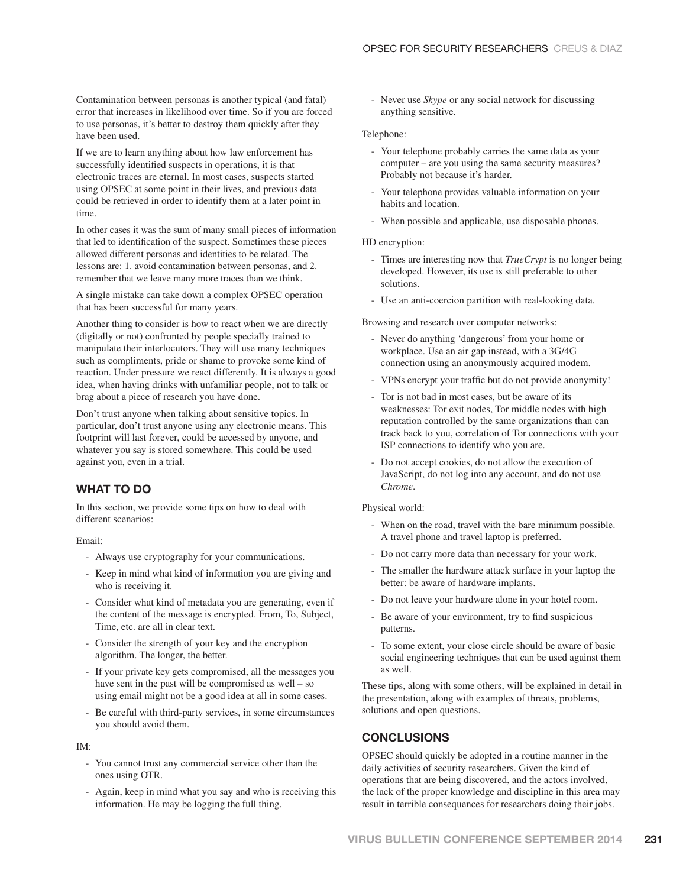Contamination between personas is another typical (and fatal) error that increases in likelihood over time. So if you are forced to use personas, it's better to destroy them quickly after they have been used.

If we are to learn anything about how law enforcement has successfully identified suspects in operations, it is that electronic traces are eternal. In most cases, suspects started using OPSEC at some point in their lives, and previous data could be retrieved in order to identify them at a later point in time.

In other cases it was the sum of many small pieces of information that led to identification of the suspect. Sometimes these pieces allowed different personas and identities to be related. The lessons are: 1. avoid contamination between personas, and 2. remember that we leave many more traces than we think.

A single mistake can take down a complex OPSEC operation that has been successful for many years.

Another thing to consider is how to react when we are directly (digitally or not) confronted by people specially trained to manipulate their interlocutors. They will use many techniques such as compliments, pride or shame to provoke some kind of reaction. Under pressure we react differently. It is always a good idea, when having drinks with unfamiliar people, not to talk or brag about a piece of research you have done.

Don't trust anyone when talking about sensitive topics. In particular, don't trust anyone using any electronic means. This footprint will last forever, could be accessed by anyone, and whatever you say is stored somewhere. This could be used against you, even in a trial.

# **WHAT TO DO**

In this section, we provide some tips on how to deal with different scenarios:

Email:

- Always use cryptography for your communications.
- Keep in mind what kind of information you are giving and who is receiving it.
- Consider what kind of metadata you are generating, even if the content of the message is encrypted. From, To, Subject, Time, etc. are all in clear text.
- Consider the strength of your key and the encryption algorithm. The longer, the better.
- If your private key gets compromised, all the messages you have sent in the past will be compromised as well – so using email might not be a good idea at all in some cases.
- Be careful with third-party services, in some circumstances you should avoid them.

IM:

- You cannot trust any commercial service other than the ones using OTR.
- Again, keep in mind what you say and who is receiving this information. He may be logging the full thing.

- Never use *Skype* or any social network for discussing anything sensitive.

#### Telephone:

- Your telephone probably carries the same data as your computer – are you using the same security measures? Probably not because it's harder.
- Your telephone provides valuable information on your habits and location.
- When possible and applicable, use disposable phones.

#### HD encryption:

- Times are interesting now that *TrueCrypt* is no longer being developed. However, its use is still preferable to other solutions.
- Use an anti-coercion partition with real-looking data.

Browsing and research over computer networks:

- Never do anything 'dangerous' from your home or workplace. Use an air gap instead, with a 3G/4G connection using an anonymously acquired modem.
- VPNs encrypt your traffic but do not provide anonymity!
- Tor is not bad in most cases, but be aware of its weaknesses: Tor exit nodes, Tor middle nodes with high reputation controlled by the same organizations than can track back to you, correlation of Tor connections with your ISP connections to identify who you are.
- Do not accept cookies, do not allow the execution of JavaScript, do not log into any account, and do not use *Chrome*.

#### Physical world:

- When on the road, travel with the bare minimum possible. A travel phone and travel laptop is preferred.
- Do not carry more data than necessary for your work.
- The smaller the hardware attack surface in your laptop the better: be aware of hardware implants.
- Do not leave your hardware alone in your hotel room.
- Be aware of your environment, try to find suspicious patterns.
- To some extent, your close circle should be aware of basic social engineering techniques that can be used against them as well.

These tips, along with some others, will be explained in detail in the presentation, along with examples of threats, problems, solutions and open questions.

# **CONCLUSIONS**

OPSEC should quickly be adopted in a routine manner in the daily activities of security researchers. Given the kind of operations that are being discovered, and the actors involved, the lack of the proper knowledge and discipline in this area may result in terrible consequences for researchers doing their jobs.